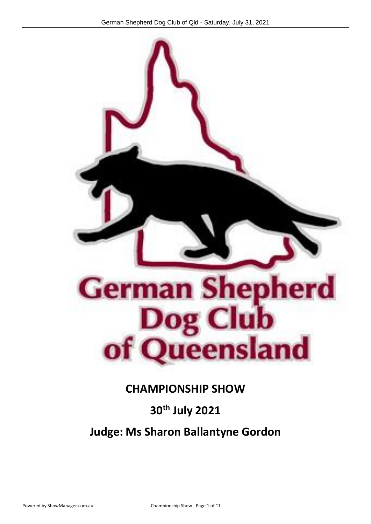

## **CHAMPIONSHIP SHOW**

## **30th July 2021**

## **Judge: Ms Sharon Ballantyne Gordon**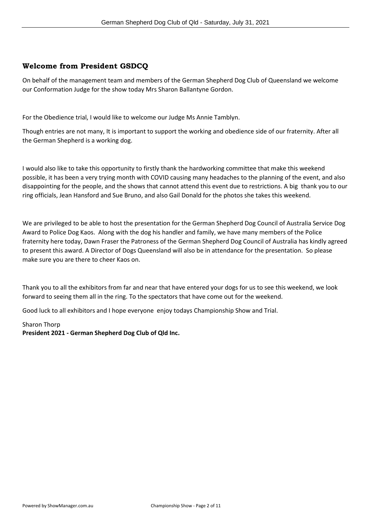#### **Welcome from President GSDCQ**

On behalf of the management team and members of the German Shepherd Dog Club of Queensland we welcome our Conformation Judge for the show today Mrs Sharon Ballantyne Gordon.

For the Obedience trial, I would like to welcome our Judge Ms Annie Tamblyn.

Though entries are not many, It is important to support the working and obedience side of our fraternity. After all the German Shepherd is a working dog.

I would also like to take this opportunity to firstly thank the hardworking committee that make this weekend possible, it has been a very trying month with COVID causing many headaches to the planning of the event, and also disappointing for the people, and the shows that cannot attend this event due to restrictions. A big thank you to our ring officials, Jean Hansford and Sue Bruno, and also Gail Donald for the photos she takes this weekend.

We are privileged to be able to host the presentation for the German Shepherd Dog Council of Australia Service Dog Award to Police Dog Kaos. Along with the dog his handler and family, we have many members of the Police fraternity here today, Dawn Fraser the Patroness of the German Shepherd Dog Council of Australia has kindly agreed to present this award. A Director of Dogs Queensland will also be in attendance for the presentation. So please make sure you are there to cheer Kaos on.

Thank you to all the exhibitors from far and near that have entered your dogs for us to see this weekend, we look forward to seeing them all in the ring. To the spectators that have come out for the weekend.

Good luck to all exhibitors and I hope everyone enjoy todays Championship Show and Trial.

#### Sharon Thorp

**President 2021 - German Shepherd Dog Club of Qld Inc.**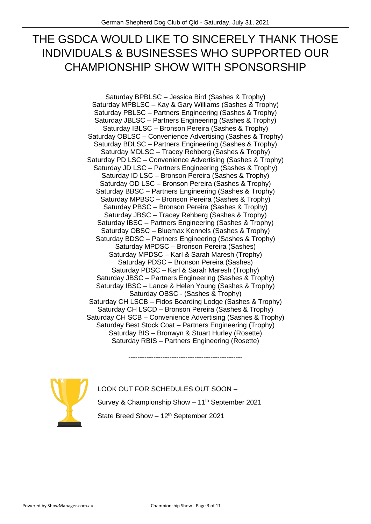## THE GSDCA WOULD LIKE TO SINCERELY THANK THOSE INDIVIDUALS & BUSINESSES WHO SUPPORTED OUR CHAMPIONSHIP SHOW WITH SPONSORSHIP

Saturday BPBLSC – Jessica Bird (Sashes & Trophy) Saturday MPBLSC – Kay & Gary Williams (Sashes & Trophy) Saturday PBLSC – Partners Engineering (Sashes & Trophy) Saturday JBLSC – Partners Engineering (Sashes & Trophy) Saturday IBLSC – Bronson Pereira (Sashes & Trophy) Saturday OBLSC – Convenience Advertising (Sashes & Trophy) Saturday BDLSC – Partners Engineering (Sashes & Trophy) Saturday MDLSC – Tracey Rehberg (Sashes & Trophy) Saturday PD LSC – Convenience Advertising (Sashes & Trophy) Saturday JD LSC – Partners Engineering (Sashes & Trophy) Saturday ID LSC – Bronson Pereira (Sashes & Trophy) Saturday OD LSC – Bronson Pereira (Sashes & Trophy) Saturday BBSC – Partners Engineering (Sashes & Trophy) Saturday MPBSC – Bronson Pereira (Sashes & Trophy) Saturday PBSC – Bronson Pereira (Sashes & Trophy) Saturday JBSC – Tracey Rehberg (Sashes & Trophy) Saturday IBSC – Partners Engineering (Sashes & Trophy) Saturday OBSC – Bluemax Kennels (Sashes & Trophy) Saturday BDSC – Partners Engineering (Sashes & Trophy) Saturday MPDSC – Bronson Pereira (Sashes) Saturday MPDSC – Karl & Sarah Maresh (Trophy) Saturday PDSC – Bronson Pereira (Sashes) Saturday PDSC – Karl & Sarah Maresh (Trophy) Saturday JBSC – Partners Engineering (Sashes & Trophy) Saturday IBSC – Lance & Helen Young (Sashes & Trophy) Saturday OBSC - (Sashes & Trophy) Saturday CH LSCB – Fidos Boarding Lodge (Sashes & Trophy) Saturday CH LSCD – Bronson Pereira (Sashes & Trophy) Saturday CH SCB – Convenience Advertising (Sashes & Trophy) Saturday Best Stock Coat – Partners Engineering (Trophy) Saturday BIS – Bronwyn & Stuart Hurley (Rosette) Saturday RBIS – Partners Engineering (Rosette)



LOOK OUT FOR SCHEDULES OUT SOON – Survey & Championship Show  $-11<sup>th</sup>$  September 2021 State Breed Show  $-12^{th}$  September 2021

--------------------------------------------------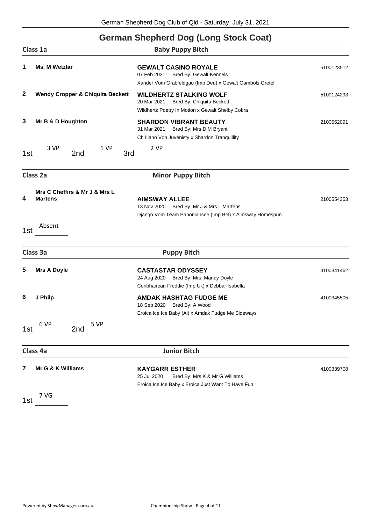### **German Shepherd Dog (Long Stock Coat)**

|              | Class 1a<br><b>Baby Puppy Bitch</b>                       |                                                                                                                                          |            |
|--------------|-----------------------------------------------------------|------------------------------------------------------------------------------------------------------------------------------------------|------------|
| 1            | <b>Ms. M Wetzlar</b>                                      | <b>GEWALT CASINO ROYALE</b><br><b>Bred By: Gewalt Kennels</b><br>07 Feb 2021<br>Xander Vom Grabfeldgau (Imp Deu) x Gewalt Gambols Gretel | 5100123512 |
| $\mathbf{2}$ | <b>Wendy Cropper &amp; Chiquita Beckett</b>               | <b>WILDHERTZ STALKING WOLF</b><br>20 Mar 2021<br><b>Bred By: Chiquita Beckett</b><br>Wildhertz Poetry In Motion x Gewalt Shelby Cobra    | 5100124293 |
| 3            | Mr B & D Houghton                                         | <b>SHARDON VIBRANT BEAUTY</b><br>31 Mar 2021<br>Bred By: Mrs D M Bryant<br>Ch Iliano Von Juvenisty x Shardon Tranquillity                | 2100562091 |
| 1st          | 3 VP<br>1 VP<br>3rd<br>2nd                                | 2 VP                                                                                                                                     |            |
|              | Class 2a                                                  | <b>Minor Puppy Bitch</b>                                                                                                                 |            |
| 4<br>1st     | Mrs C Cheffirs & Mr J & Mrs L<br><b>Martens</b><br>Absent | <b>AIMSWAY ALLEE</b><br>13 Nov 2020 Bred By: Mr J & Mrs L Martens<br>Django Vom Team Panoniansee (Imp Bel) x Aimsway Homespun            | 2100554353 |
|              | Class 3a                                                  | <b>Puppy Bitch</b>                                                                                                                       |            |
| 5            | <b>Mrs A Doyle</b>                                        | <b>CASTASTAR ODYSSEY</b><br>24 Aug 2020 Bred By: Mrs. Mandy Doyle<br>Conbhairean Freddie (Imp Uk) x Debbar Isabella                      | 4100341462 |
| 6            | J Philp                                                   | <b>AMDAK HASHTAG FUDGE ME</b><br>18 Sep 2020 Bred By: A Wood<br>Eroica Ice Ice Baby (Ai) x Amdak Fudge Me Sideways                       | 4100345505 |
| 1st          | 6 VP<br>5 VP<br>2nd                                       |                                                                                                                                          |            |
|              | Class 4a                                                  | <b>Junior Bitch</b>                                                                                                                      |            |
| 7            | Mr G & K Williams                                         | <b>KAYGARR ESTHER</b><br>25 Jul 2020<br>Bred By: Mrs K & Mr G Williams<br>Eroica Ice Ice Baby x Eroica Just Want To Have Fun             | 4100339708 |
| 1st          | 7 VG                                                      |                                                                                                                                          |            |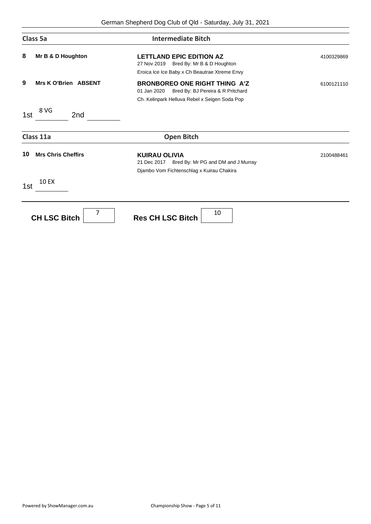| Class 5a                        | <b>Intermediate Bitch</b>                                                                                                                 |            |
|---------------------------------|-------------------------------------------------------------------------------------------------------------------------------------------|------------|
| 8<br>Mr B & D Houghton          | <b>LETTLAND EPIC EDITION AZ</b><br>27 Nov 2019<br>Bred By: Mr B & D Houghton<br>Eroica Ice Ice Baby x Ch Beautrae Xtreme Envy             | 4100329869 |
| 9<br>Mrs K O'Brien ABSENT       | <b>BRONBOREO ONE RIGHT THING A'Z</b><br>Bred By: BJ Pereira & R Pritchard<br>01 Jan 2020<br>Ch. Kelinpark Helluva Rebel x Seigen Soda Pop | 6100121110 |
| 8 VG<br>2nd<br>1st              |                                                                                                                                           |            |
| Class 11a                       | <b>Open Bitch</b>                                                                                                                         |            |
| <b>Mrs Chris Cheffirs</b><br>10 | <b>KUIRAU OLIVIA</b><br>21 Dec 2017 Bred By: Mr PG and DM and J Murray<br>Djambo Vom Fichtenschlag x Kuirau Chakira                       | 2100488461 |
| <b>10 EX</b><br>1st             |                                                                                                                                           |            |
| 7<br><b>CH LSC Bitch</b>        | 10<br><b>Res CH LSC Bitch</b>                                                                                                             |            |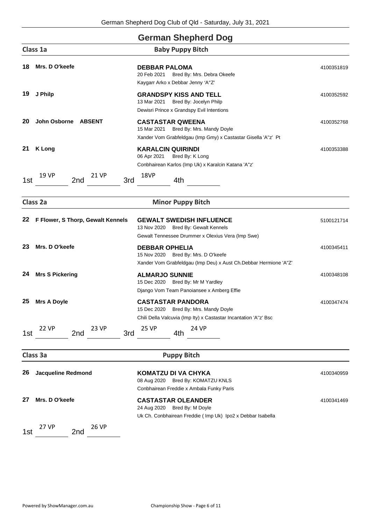|     |                                     | <b>German Shepherd Dog</b>                                                                                                            |            |
|-----|-------------------------------------|---------------------------------------------------------------------------------------------------------------------------------------|------------|
|     | Class 1a                            | <b>Baby Puppy Bitch</b>                                                                                                               |            |
| 18  | Mrs. D O'keefe                      | <b>DEBBAR PALOMA</b><br>20 Feb 2021<br>Bred By: Mrs. Debra Okeefe<br>Kaygarr Arko x Debbar Jenny 'A"Z'                                | 4100351819 |
| 19  | J Philp                             | <b>GRANDSPY KISS AND TELL</b><br>Bred By: Jocelyn Philp<br>13 Mar 2021<br>Dewisri Prince x Grandspy Evil Intentions                   | 4100352592 |
| 20  | John Osborne<br><b>ABSENT</b>       | <b>CASTASTAR QWEENA</b><br>15 Mar 2021<br>Bred By: Mrs. Mandy Doyle<br>Xander Vom Grabfeldgau (Imp Gmy) x Castastar Gisella 'A"z' Pt  | 4100352768 |
| 21  | <b>K</b> Long                       | <b>KARALCIN QUIRINDI</b><br>06 Apr 2021<br>Bred By: K Long<br>Conbhairean Karlos (Imp Uk) x Karalcin Katana 'A"z'                     | 4100353388 |
| 1st | 19 VP<br>21 VP<br>3rd<br>2nd        | 18VP<br>4th                                                                                                                           |            |
|     | Class 2a                            | <b>Minor Puppy Bitch</b>                                                                                                              |            |
| 22  | F Flower, S Thorp, Gewalt Kennels   | <b>GEWALT SWEDISH INFLUENCE</b><br>13 Nov 2020 Bred By: Gewalt Kennels<br>Gewalt Tennessee Drummer x Olexius Vera (Imp Swe)           | 5100121714 |
| 23  | Mrs. D O'keefe                      | <b>DEBBAR OPHELIA</b><br>15 Nov 2020 Bred By: Mrs. D O'keefe<br>Xander Vom Grabfeldgau (Imp Deu) x Aust Ch.Debbar Hermione 'A"Z'      | 4100345411 |
| 24  | <b>Mrs S Pickering</b>              | <b>ALMARJO SUNNIE</b><br>Bred By: Mr M Yardley<br>15 Dec 2020<br>Django Vom Team Panoiansee x Amberg Effie                            | 4100348108 |
| 25  | <b>Mrs A Doyle</b>                  | <b>CASTASTAR PANDORA</b><br>15 Dec 2020 Bred By: Mrs. Mandy Doyle<br>Chili Della Valcuvia (Imp Ity) x Castastar Incantation 'A"z' Bsc | 4100347474 |
| 1st | <b>22 VP</b><br>23 VP<br>2nd<br>3rd | 25 VP<br>24 VP<br>4th                                                                                                                 |            |
|     | Class 3a                            | <b>Puppy Bitch</b>                                                                                                                    |            |
| 26  | <b>Jacqueline Redmond</b>           | <b>KOMATZU DI VA CHYKA</b><br>08 Aug 2020 Bred By: KOMATZU KNLS<br>Conbhairean Freddie x Ambala Funky Paris                           | 4100340959 |
| 27  | Mrs. D O'keefe                      | <b>CASTASTAR OLEANDER</b><br>24 Aug 2020<br>Bred By: M Doyle<br>Uk Ch. Conbhairean Freddie (Imp Uk) Ipo2 x Debbar Isabella            | 4100341469 |
| 1st | <b>26 VP</b><br>27 VP<br>2nd        |                                                                                                                                       |            |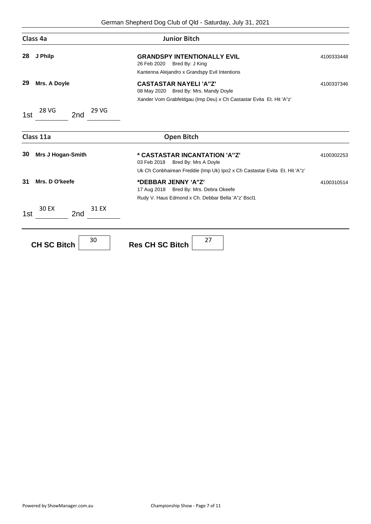| Class 4a                       | <b>Junior Bitch</b>                                                                                                                             |            |
|--------------------------------|-------------------------------------------------------------------------------------------------------------------------------------------------|------------|
| 28<br>J Philp                  | <b>GRANDSPY INTENTIONALLY EVIL</b><br>26 Feb 2020<br>Bred By: J King<br>Kantenna Alejandro x Grandspy Evil Intentions                           | 4100333448 |
| 29<br>Mrs. A Doyle             | <b>CASTASTAR NAYELI'A"Z'</b><br>08 May 2020 Bred By: Mrs. Mandy Doyle<br>Xander Vom Grabfeldgau (Imp Deu) x Ch Castastar Evita Et. Hit 'A''z'   | 4100337346 |
| 28 VG<br>29 VG<br>2nd<br>1st   |                                                                                                                                                 |            |
| Class 11a                      | <b>Open Bitch</b>                                                                                                                               |            |
| 30<br><b>Mrs J Hogan-Smith</b> | * CASTASTAR INCANTATION 'A"Z'<br>03 Feb 2018 Bred By: Mrs A Doyle<br>Uk Ch Conbhairean Freddie (Imp Uk) Ipo2 x Ch Castastar Evita Et. Hit 'A"z' | 4100302253 |
| Mrs. D O'keefe<br>31           | *DEBBAR JENNY 'A"Z'<br>17 Aug 2018 Bred By: Mrs. Debra Okeefe<br>Rudy V. Haus Edmond x Ch. Debbar Bella 'A"z' Bscl1                             | 4100310514 |
| 30 EX<br>31 EX<br>2nd<br>1st   |                                                                                                                                                 |            |
| 30<br><b>CH SC Bitch</b>       | 27<br><b>Res CH SC Bitch</b>                                                                                                                    |            |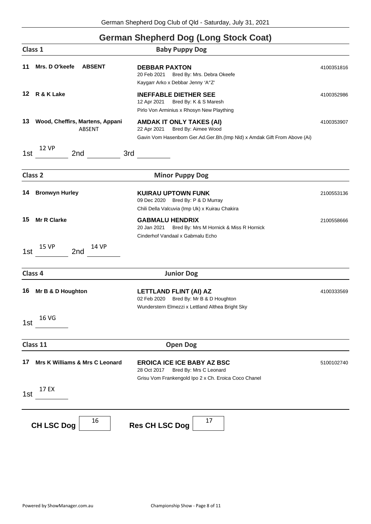### **German Shepherd Dog (Long Stock Coat)**

|     | Class 1                                   | <b>Baby Puppy Dog</b>                                                                                                                             |            |
|-----|-------------------------------------------|---------------------------------------------------------------------------------------------------------------------------------------------------|------------|
| 11  | Mrs. D O'keefe<br><b>ABSENT</b>           | <b>DEBBAR PAXTON</b><br>20 Feb 2021<br>Bred By: Mrs. Debra Okeefe<br>Kaygarr Arko x Debbar Jenny 'A"Z'                                            | 4100351816 |
| 12  | R & K Lake                                | <b>INEFFABLE DIETHER SEE</b><br>12 Apr 2021<br>Bred By: K & S Maresh<br>Pirlo Von Arminius x Rhosyn New Plaything                                 | 4100352986 |
| 13  | Wood, Cheffirs, Martens, Appani<br>ABSENT | <b>AMDAK IT ONLY TAKES (AI)</b><br>Bred By: Aimee Wood<br>22 Apr 2021<br>Gavin Vom Hasenborn Ger.Ad.Ger.Bh.(Imp Nld) x Amdak Gift From Above (Ai) | 4100353907 |
| 1st | <b>12 VP</b><br>3rd<br>2nd                |                                                                                                                                                   |            |
|     | Class <sub>2</sub>                        | <b>Minor Puppy Dog</b>                                                                                                                            |            |
| 14  | <b>Bronwyn Hurley</b>                     | <b>KUIRAU UPTOWN FUNK</b><br>09 Dec 2020 Bred By: P & D Murray<br>Chili Della Valcuvia (Imp Uk) x Kuirau Chakira                                  | 2100553136 |
| 15  | <b>Mr R Clarke</b>                        | <b>GABMALU HENDRIX</b><br>Bred By: Mrs M Hornick & Miss R Hornick<br>20 Jan 2021<br>Cinderhof Vandaal x Gabmalu Echo                              | 2100558666 |
| 1st | <b>15 VP</b><br><b>14 VP</b><br>2nd       |                                                                                                                                                   |            |
|     | Class 4                                   | <b>Junior Dog</b>                                                                                                                                 |            |
| 16  | Mr B & D Houghton                         | LETTLAND FLINT (AI) AZ<br>02 Feb 2020<br>Bred By: Mr B & D Houghton<br>Wunderstern Elmezzi x Lettland Althea Bright Sky                           | 4100333569 |
| 1st | <b>16 VG</b>                              |                                                                                                                                                   |            |
|     | Class 11                                  | <b>Open Dog</b>                                                                                                                                   |            |
| 17  | <b>Mrs K Williams &amp; Mrs C Leonard</b> | <b>EROICA ICE ICE BABY AZ BSC</b><br>28 Oct 2017<br>Bred By: Mrs C Leonard<br>Grisu Vom Frankengold Ipo 2 x Ch. Eroica Coco Chanel                | 5100102740 |
| 1st | 17 EX                                     |                                                                                                                                                   |            |
|     | 16<br><b>CH LSC Dog</b>                   | 17<br><b>Res CH LSC Dog</b>                                                                                                                       |            |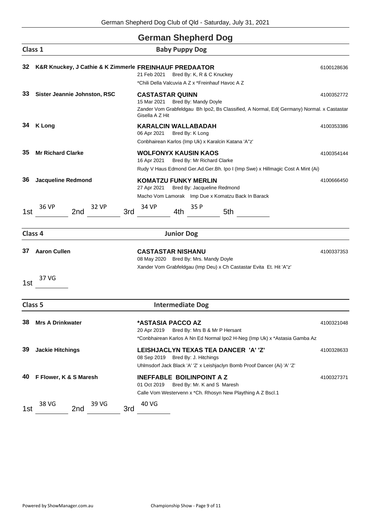### **German Shepherd Dog**

| Class 1            |                              | <b>Baby Puppy Dog</b>                                                                                                                                                         |            |
|--------------------|------------------------------|-------------------------------------------------------------------------------------------------------------------------------------------------------------------------------|------------|
| 32                 |                              | K&R Knuckey, J Cathie & K Zimmerle FREINHAUF PREDAATOR<br>Bred By: K, R & C Knuckey<br>21 Feb 2021<br>*Chili Della Valcuvia A Z x *Freinhauf Havoc A Z                        | 6100128636 |
| 33                 | Sister Jeannie Johnston, RSC | <b>CASTASTAR QUINN</b><br>Bred By: Mandy Doyle<br>15 Mar 2021<br>Zander Vom Grabfeldgau Bh Ipo2, Bs Classified, A Normal, Ed( Germany) Normal. x Castastar<br>Gisella A Z Hit | 4100352772 |
| 34                 | <b>K</b> Long                | <b>KARALCIN WALLABADAH</b><br>06 Apr 2021<br>Bred By: K Long<br>Conbhairean Karlos (Imp Uk) x Karalcin Katana 'A"z'                                                           | 4100353386 |
| 35                 | <b>Mr Richard Clarke</b>     | <b>WOLFONYX KAUSIN KAOS</b><br>16 Apr 2021<br>Bred By: Mr Richard Clarke<br>Rudy V Haus Edmond Ger.Ad.Ger.Bh. Ipo I (Imp Swe) x Hillmagic Cost A Mint (Ai)                    | 4100354144 |
| 36                 | <b>Jacqueline Redmond</b>    | <b>KOMATZU FUNKY MERLIN</b><br>27 Apr 2021<br>Bred By: Jacqueline Redmond<br>Macho Vom Lamorak Imp Due x Komatzu Back In Barack                                               | 4100666450 |
| 1st                | 36 VP<br>32 VP<br>2nd        | 34 VP<br>35 P<br>3rd<br>4th<br>5th                                                                                                                                            |            |
| Class 4            |                              | <b>Junior Dog</b>                                                                                                                                                             |            |
| 37<br>1st          | <b>Aaron Cullen</b><br>37 VG | <b>CASTASTAR NISHANU</b><br>08 May 2020 Bred By: Mrs. Mandy Doyle<br>Xander Vom Grabfeldgau (Imp Deu) x Ch Castastar Evita Et. Hit 'A"z'                                      | 4100337353 |
| Class <sub>5</sub> |                              | <b>Intermediate Dog</b>                                                                                                                                                       |            |
| 38                 | <b>Mrs A Drinkwater</b>      | *ASTASIA PACCO AZ<br>20 Apr 2019<br>Bred By: Mrs B & Mr P Hersant<br>*Conbhairean Karlos A Nn Ed Normal Ipo2 H-Neg (Imp Uk) x *Astasia Gamba Az                               | 4100321048 |
| 39                 | <b>Jackie Hitchings</b>      | LEISHJACLYN TEXAS TEA DANCER 'A' 'Z'<br>08 Sep 2019 Bred By: J. Hitchings<br>Uhlmsdorf Jack Black 'A' 'Z' x Leishjaclyn Bomb Proof Dancer (Ai) 'A' 'Z'                        | 4100328633 |
| 40                 | F Flower, K & S Maresh       | <b>INEFFABLE BOILINPOINT A Z</b><br>01 Oct 2019<br>Bred By: Mr. K and S Maresh<br>Calle Vom Westervenn x *Ch. Rhosyn New Plaything A Z Bscl.1                                 | 4100327371 |
| 1st                | 39 VG<br>38 VG<br>2nd        | 40 VG<br>3rd                                                                                                                                                                  |            |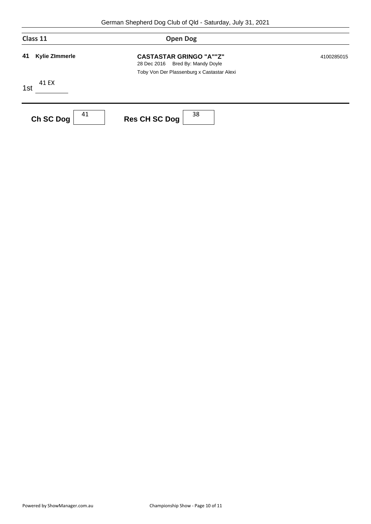| Class 11                    | <b>Open Dog</b>                                                                                                     |            |  |
|-----------------------------|---------------------------------------------------------------------------------------------------------------------|------------|--|
| 41<br><b>Kylie ZImmerle</b> | <b>CASTASTAR GRINGO "A""Z"</b><br>Bred By: Mandy Doyle<br>28 Dec 2016<br>Toby Von Der Plassenburg x Castastar Alexi | 4100285015 |  |
| 41 EX<br>1st                |                                                                                                                     |            |  |
| 41<br>Ch SC Dog             | 38<br><b>Res CH SC Dog</b>                                                                                          |            |  |